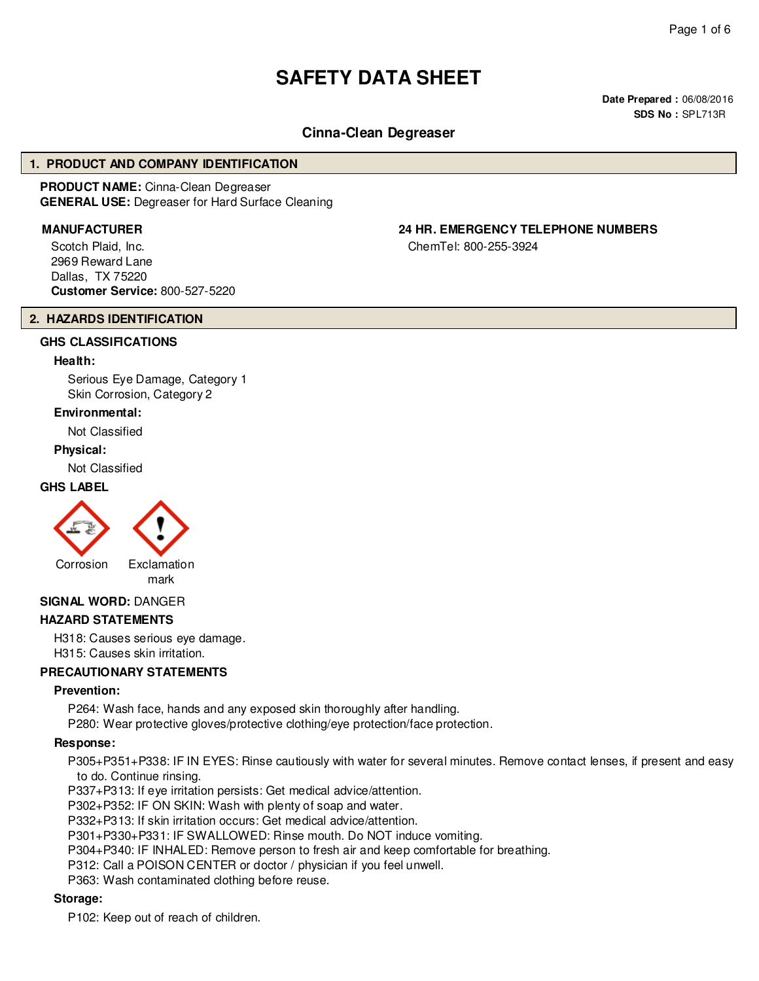# **SAFETY DATA SHEET**

**Date Prepared :** 06/08/2016 **SDS No :** SPL713R

# **Cinna-Clean Degreaser**

### **1. PRODUCT AND COMPANY IDENTIFICATION**

**PRODUCT NAME:** Cinna-Clean Degreaser **GENERAL USE:** Degreaser for Hard Surface Cleaning

Scotch Plaid, Inc. 2969 Reward Lane Dallas, TX 75220 **Customer Service:** 800-527-5220

# **MANUFACTURER 24 HR. EMERGENCY TELEPHONE NUMBERS**

ChemTel: 800-255-3924

#### **2. HAZARDS IDENTIFICATION**

# **GHS CLASSIFICATIONS**

## **Health:**

Serious Eye Damage, Category 1 Skin Corrosion, Category 2

#### **Environmental:**

Not Classified

#### **Physical:**

Not Classified

# **GHS LABEL**



mark

### **SIGNAL WORD:** DANGER

### **HAZARD STATEMENTS**

H318: Causes serious eye damage. H315: Causes skin irritation.

### **PRECAUTIONARY STATEMENTS**

### **Prevention:**

P264: Wash face, hands and any exposed skin thoroughly after handling.

P280: Wear protective gloves/protective clothing/eye protection/face protection.

# **Response:**

P305+P351+P338: IF IN EYES: Rinse cautiously with water for several minutes. Remove contact lenses, if present and easy to do. Continue rinsing.

P337+P313: If eye irritation persists: Get medical advice/attention.

- P302+P352: IF ON SKIN: Wash with plenty of soap and water.
- P332+P313: If skin irritation occurs: Get medical advice/attention.
- P301+P330+P331: IF SWALLOWED: Rinse mouth. Do NOT induce vomiting.
- P304+P340: IF INHALED: Remove person to fresh air and keep comfortable for breathing.
- P312: Call a POISON CENTER or doctor / physician if you feel unwell.

P363: Wash contaminated clothing before reuse.

### **Storage:**

P102: Keep out of reach of children.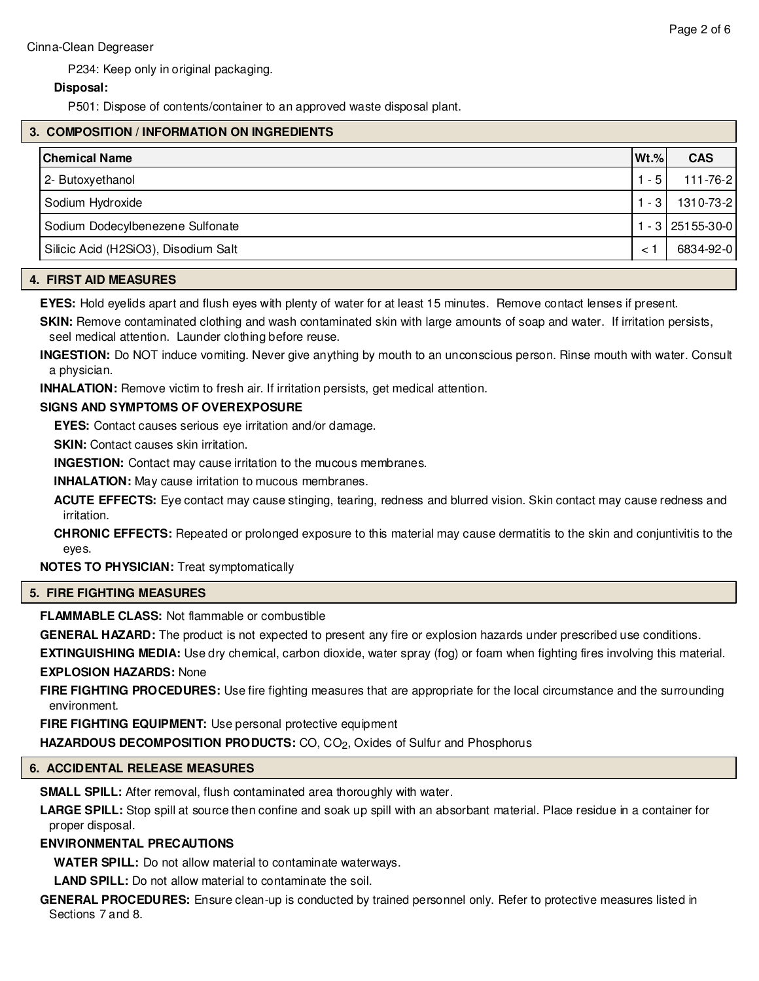P234: Keep only in original packaging.

# **Disposal:**

P501: Dispose of contents/container to an approved waste disposal plant.

# **3. COMPOSITION / INFORMATION ON INGREDIENTS**

| <b>Chemical Name</b>                 | $Wt.\%$ | <b>CAS</b>      |
|--------------------------------------|---------|-----------------|
| 2- Butoxyethanol                     | $-5$    | 111-76-2        |
| Sodium Hydroxide                     | $-31$   | 1310-73-2       |
| Sodium Dodecylbenezene Sulfonate     |         | $-3$ 25155-30-0 |
| Silicic Acid (H2SiO3), Disodium Salt |         | 6834-92-0       |

# **4. FIRST AID MEASURES**

**EYES:** Hold eyelids apart and flush eyes with plenty of water for at least 15 minutes. Remove contact lenses if present.

**SKIN:** Remove contaminated clothing and wash contaminated skin with large amounts of soap and water. If irritation persists, seel medical attention. Launder clothing before reuse.

**INGESTION:** Do NOT induce vomiting. Never give anything by mouth to an unconscious person. Rinse mouth with water. Consult a physician.

**INHALATION:** Remove victim to fresh air. If irritation persists, get medical attention.

### **SIGNS AND SYMPTOMS OF OVEREXPOSURE**

**EYES:** Contact causes serious eye irritation and/or damage.

**SKIN:** Contact causes skin irritation.

**INGESTION:** Contact may cause irritation to the mucous membranes.

**INHALATION:** May cause irritation to mucous membranes.

**ACUTE EFFECTS:** Eye contact may cause stinging, tearing, redness and blurred vision. Skin contact may cause redness and irritation.

**CHRONIC EFFECTS:** Repeated or prolonged exposure to this material may cause dermatitis to the skin and conjuntivitis to the eyes.

**NOTES TO PHYSICIAN:** Treat symptomatically

### **5. FIRE FIGHTING MEASURES**

**FLAMMABLE CLASS:** Not flammable or combustible

**GENERAL HAZARD:** The product is not expected to present any fire or explosion hazards under prescribed use conditions.

**EXTINGUISHING MEDIA:** Use dry chemical, carbon dioxide, water spray (fog) or foam when fighting fires involving this material. **EXPLOSION HAZARDS:** None

**FIRE FIGHTING PROCEDURES:** Use fire fighting measures that are appropriate for the local circumstance and the surrounding environment.

**FIRE FIGHTING EQUIPMENT:** Use personal protective equipment

HAZARDOUS DECOMPOSITION PRODUCTS: CO, CO<sub>2</sub>, Oxides of Sulfur and Phosphorus

# **6. ACCIDENTAL RELEASE MEASURES**

**SMALL SPILL:** After removal, flush contaminated area thoroughly with water.

**LARGE SPILL:** Stop spill at source then confine and soak up spill with an absorbant material. Place residue in a container for proper disposal.

# **ENVIRONMENTAL PRECAUTIONS**

**WATER SPILL:** Do not allow material to contaminate waterways.

**LAND SPILL:** Do not allow material to contaminate the soil.

**GENERAL PROCEDURES:** Ensure clean-up is conducted by trained personnel only. Refer to protective measures listed in Sections 7 and 8.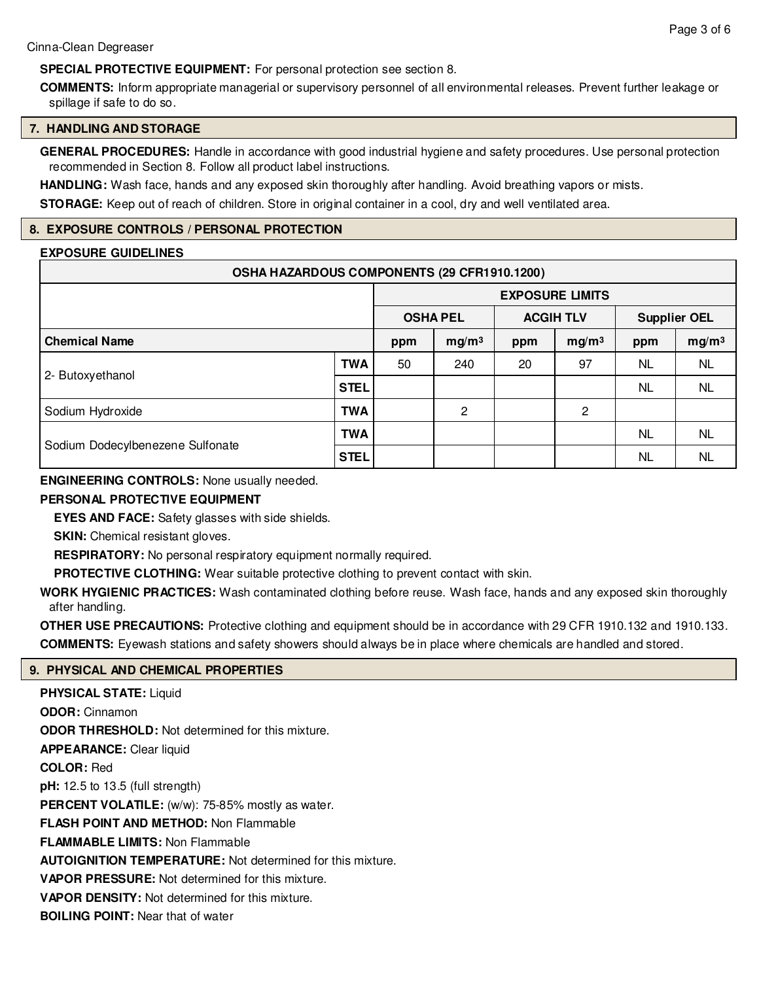# **SPECIAL PROTECTIVE EQUIPMENT:** For personal protection see section 8.

**COMMENTS:** Inform appropriate managerial or supervisory personnel of all environmental releases. Prevent further leakage or spillage if safe to do so.

### **7. HANDLING AND STORAGE**

**GENERAL PROCEDURES:** Handle in accordance with good industrial hygiene and safety procedures. Use personal protection recommended in Section 8. Follow all product label instructions.

**HANDLING:** Wash face, hands and any exposed skin thoroughly after handling. Avoid breathing vapors or mists.

**STORAGE:** Keep out of reach of children. Store in original container in a cool, dry and well ventilated area.

# **8. EXPOSURE CONTROLS / PERSONAL PROTECTION**

# **EXPOSURE GUIDELINES**

| OSHA HAZARDOUS COMPONENTS (29 CFR1910.1200) |            |                        |                   |                          |    |                          |           |
|---------------------------------------------|------------|------------------------|-------------------|--------------------------|----|--------------------------|-----------|
|                                             |            | <b>EXPOSURE LIMITS</b> |                   |                          |    |                          |           |
|                                             |            | <b>OSHA PEL</b>        |                   | <b>ACGIH TLV</b>         |    | <b>Supplier OEL</b>      |           |
| <b>Chemical Name</b>                        |            | ppm                    | mg/m <sup>3</sup> | mg/m <sup>3</sup><br>ppm |    | mg/m <sup>3</sup><br>ppm |           |
| 2- Butoxyethanol                            | <b>TWA</b> | 50                     | 240               | 20                       | 97 | NL.                      | <b>NL</b> |
|                                             | STEL       |                        |                   |                          |    | NL.                      | NL.       |
| Sodium Hydroxide                            | TWA        |                        | 2                 |                          | 2  |                          |           |
| Sodium Dodecylbenezene Sulfonate            | <b>TWA</b> |                        |                   |                          |    | NL                       | <b>NL</b> |
|                                             | STEL       |                        |                   |                          |    | <b>NL</b>                | <b>NL</b> |

**ENGINEERING CONTROLS:** None usually needed.

## **PERSONAL PROTECTIVE EQUIPMENT**

**EYES AND FACE:** Safety glasses with side shields.

**SKIN:** Chemical resistant gloves.

**RESPIRATORY:** No personal respiratory equipment normally required.

**PROTECTIVE CLOTHING:** Wear suitable protective clothing to prevent contact with skin.

**WORK HYGIENIC PRACTICES:** Wash contaminated clothing before reuse. Wash face, hands and any exposed skin thoroughly after handling.

**OTHER USE PRECAUTIONS:** Protective clothing and equipment should be in accordance with 29 CFR 1910.132 and 1910.133. **COMMENTS:** Eyewash stations and safety showers should always be in place where chemicals are handled and stored.

# **9. PHYSICAL AND CHEMICAL PROPERTIES**

**PHYSICAL STATE: Liquid ODOR:** Cinnamon **ODOR THRESHOLD:** Not determined for this mixture. **APPEARANCE:** Clear liquid **COLOR:** Red **pH:** 12.5 to 13.5 (full strength) **PERCENT VOLATILE:** (w/w): 75-85% mostly as water. **FLASH POINT AND METHOD:** Non Flammable **FLAMMABLE LIMITS:** Non Flammable **AUTOIGNITION TEMPERATURE:** Not determined for this mixture. **VAPOR PRESSURE:** Not determined for this mixture. **VAPOR DENSITY:** Not determined for this mixture. **BOILING POINT:** Near that of water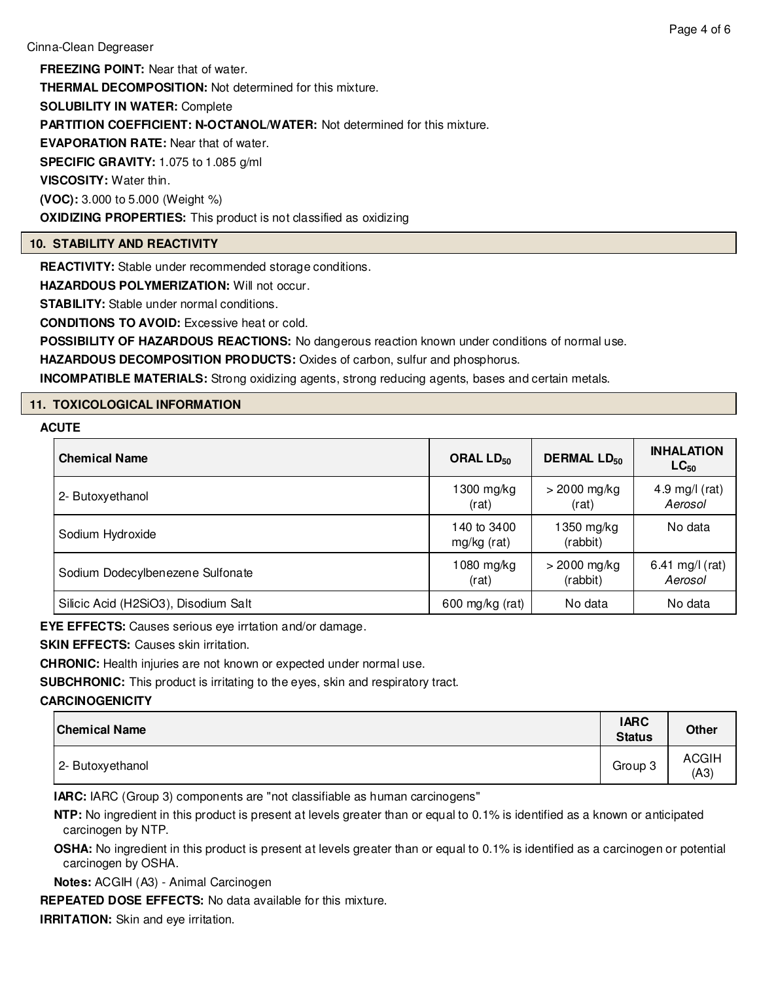**FREEZING POINT:** Near that of water. **THERMAL DECOMPOSITION:** Not determined for this mixture. **SOLUBILITY IN WATER:** Complete **PARTITION COEFFICIENT: N-OCTANOL/WATER:** Not determined for this mixture. **EVAPORATION RATE:** Near that of water. **SPECIFIC GRAVITY:** 1.075 to 1.085 g/ml **VISCOSITY:** Water thin. **(VOC):** 3.000 to 5.000 (Weight %) **OXIDIZING PROPERTIES:** This product is not classified as oxidizing

# **10. STABILITY AND REACTIVITY**

**REACTIVITY:** Stable under recommended storage conditions.

**HAZARDOUS POLYMERIZATION:** Will not occur.

**STABILITY:** Stable under normal conditions.

**CONDITIONS TO AVOID:** Excessive heat or cold.

**POSSIBILITY OF HAZARDOUS REACTIONS:** No dangerous reaction known under conditions of normal use.

**HAZARDOUS DECOMPOSITION PRODUCTS:** Oxides of carbon, sulfur and phosphorus.

**INCOMPATIBLE MATERIALS:** Strong oxidizing agents, strong reducing agents, bases and certain metals.

# **11. TOXICOLOGICAL INFORMATION**

# **ACUTE**

| <b>Chemical Name</b>                 | ORAL $LD_{50}$             | <b>DERMAL LD<sub>50</sub></b> | <b>INHALATION</b><br>$LC_{50}$ |  |
|--------------------------------------|----------------------------|-------------------------------|--------------------------------|--|
| 2- Butoxyethanol                     | $1300$ mg/kg<br>(rat)      | $>$ 2000 mg/kg<br>(rat)       | 4.9 mg/l $(rat)$<br>Aerosol    |  |
| Sodium Hydroxide                     | 140 to 3400<br>mg/kg (rat) | 1350 mg/kg<br>(rabbit)        | No data                        |  |
| Sodium Dodecylbenezene Sulfonate     | $1080$ mg/kg<br>(rat)      | $> 2000$ mg/kg<br>(rabbit)    | 6.41 mg/l (rat)<br>Aerosol     |  |
| Silicic Acid (H2SiO3), Disodium Salt | 600 mg/kg (rat)            | No data                       | No data                        |  |

**EYE EFFECTS:** Causes serious eye irrtation and/or damage.

**SKIN EFFECTS:** Causes skin irritation.

**CHRONIC:** Health injuries are not known or expected under normal use.

**SUBCHRONIC:** This product is irritating to the eyes, skin and respiratory tract.

# **CARCINOGENICITY**

| <b>Chemical Name</b> | <b>IARC</b><br><b>Status</b> | <b>Other</b>         |
|----------------------|------------------------------|----------------------|
| 2- Butoxyethanol     | Group 3                      | <b>ACGIH</b><br>(A3) |

**IARC:** IARC (Group 3) components are "not classifiable as human carcinogens"

**NTP:** No ingredient in this product is present at levels greater than or equal to 0.1% is identified as a known or anticipated carcinogen by NTP.

**OSHA:** No ingredient in this product is present at levels greater than or equal to 0.1% is identified as a carcinogen or potential carcinogen by OSHA.

**Notes:** ACGIH (A3) - Animal Carcinogen

**REPEATED DOSE EFFECTS:** No data available for this mixture.

**IRRITATION:** Skin and eye irritation.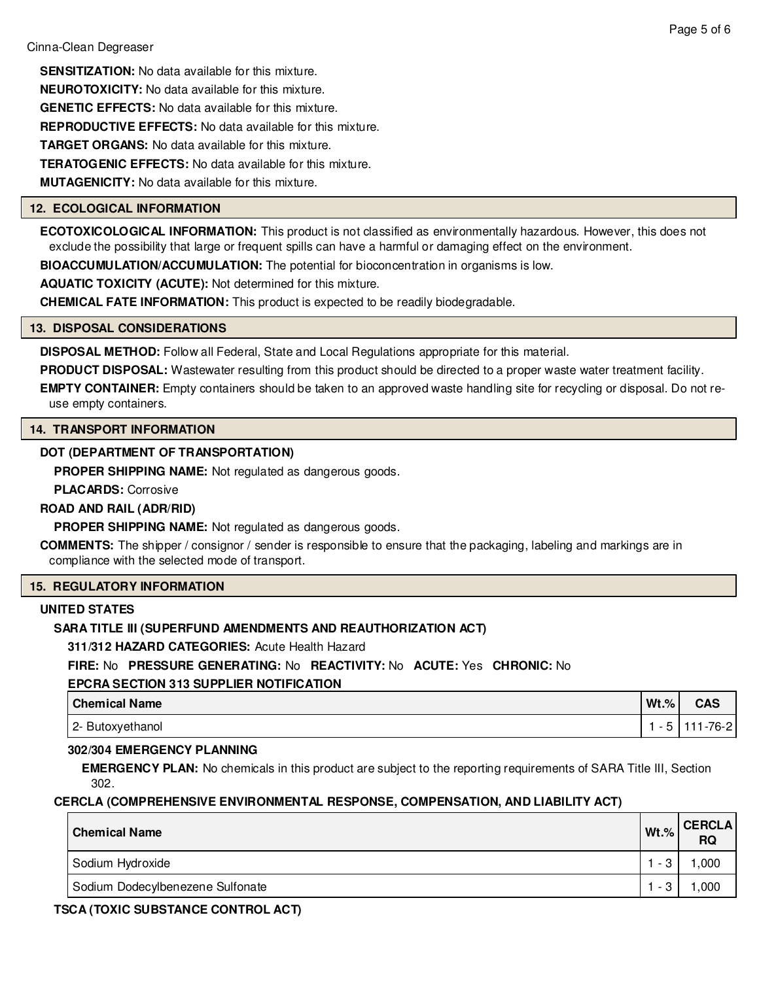**SENSITIZATION:** No data available for this mixture. **NEUROTOXICITY:** No data available for this mixture. **GENETIC EFFECTS:** No data available for this mixture. **REPRODUCTIVE EFFECTS:** No data available for this mixture. **TARGET ORGANS:** No data available for this mixture. **TERATOGENIC EFFECTS:** No data available for this mixture. **MUTAGENICITY:** No data available for this mixture.

# **12. ECOLOGICAL INFORMATION**

**ECOTOXICOLOGICAL INFORMATION:** This product is not classified as environmentally hazardous. However, this does not exclude the possibility that large or frequent spills can have a harmful or damaging effect on the environment.

**BIOACCUMULATION/ACCUMULATION:** The potential for bioconcentration in organisms is low.

**AQUATIC TOXICITY (ACUTE):** Not determined for this mixture.

**CHEMICAL FATE INFORMATION:** This product is expected to be readily biodegradable.

### **13. DISPOSAL CONSIDERATIONS**

**DISPOSAL METHOD:** Follow all Federal, State and Local Regulations appropriate for this material.

**PRODUCT DISPOSAL:** Wastewater resulting from this product should be directed to a proper waste water treatment facility.

**EMPTY CONTAINER:** Empty containers should be taken to an approved waste handling site for recycling or disposal. Do not reuse empty containers.

# **14. TRANSPORT INFORMATION**

# **DOT (DEPARTMENT OF TRANSPORTATION)**

**PROPER SHIPPING NAME:** Not regulated as dangerous goods.

**PLACARDS:** Corrosive

### **ROAD AND RAIL (ADR/RID)**

**PROPER SHIPPING NAME:** Not regulated as dangerous goods.

**COMMENTS:** The shipper / consignor / sender is responsible to ensure that the packaging, labeling and markings are in compliance with the selected mode of transport.

# **15. REGULATORY INFORMATION**

# **UNITED STATES**

# **SARA TITLE III (SUPERFUND AMENDMENTS AND REAUTHORIZATION ACT)**

**311/312 HAZARD CATEGORIES:** Acute Health Hazard

# **FIRE:** No **PRESSURE GENERATING:** No **REACTIVITY:** No **ACUTE:** Yes **CHRONIC:** No

### **EPCRA SECTION 313 SUPPLIER NOTIFICATION**

| <b>Chemical Name</b> | $Wt.\%$ | CAS    |
|----------------------|---------|--------|
| 2- Butoxyethanol     |         | 76-2 I |

### **302/304 EMERGENCY PLANNING**

**EMERGENCY PLAN:** No chemicals in this product are subject to the reporting requirements of SARA Title III, Section 302.

# **CERCLA (COMPREHENSIVE ENVIRONMENTAL RESPONSE, COMPENSATION, AND LIABILITY ACT)**

| <b>Chemical Name</b>             | $Wt.\%$ | <b>CERCLA</b><br><b>RQ</b> |
|----------------------------------|---------|----------------------------|
| Sodium Hydroxide                 | $-3$    | ,000                       |
| Sodium Dodecylbenezene Sulfonate | - 2     | .000                       |